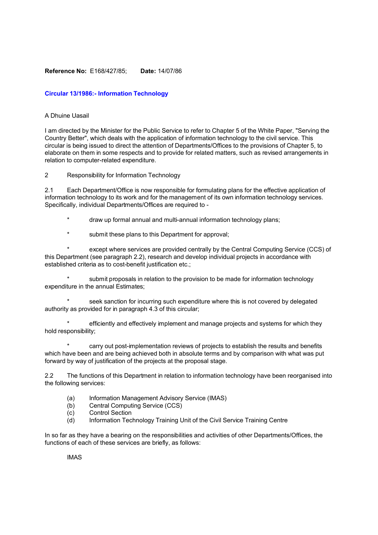## **Reference No:** E168/427/85; **Date:** 14/07/86

# **Circular 13/1986:- Information Technology**

### A Dhuine Uasail

I am directed by the Minister for the Public Service to refer to Chapter 5 of the White Paper, "Serving the Country Better", which deals with the application of information technology to the civil service. This circular is being issued to direct the attention of Departments/Offices to the provisions of Chapter 5, to elaborate on them in some respects and to provide for related matters, such as revised arrangements in relation to computer-related expenditure.

2 Responsibility for Information Technology

2.1 Each Department/Office is now responsible for formulating plans for the effective application of information technology to its work and for the management of its own information technology services. Specifically, individual Departments/Offices are required to -

- \* draw up formal annual and multi-annual information technology plans;
- submit these plans to this Department for approval;

except where services are provided centrally by the Central Computing Service (CCS) of this Department (see paragraph 2.2), research and develop individual projects in accordance with established criteria as to cost-benefit justification etc.;

submit proposals in relation to the provision to be made for information technology expenditure in the annual Estimates;

seek sanction for incurring such expenditure where this is not covered by delegated authority as provided for in paragraph 4.3 of this circular;

efficiently and effectively implement and manage projects and systems for which they hold responsibility;

carry out post-implementation reviews of projects to establish the results and benefits which have been and are being achieved both in absolute terms and by comparison with what was put forward by way of justification of the projects at the proposal stage.

2.2 The functions of this Department in relation to information technology have been reorganised into the following services:

- (a) Information Management Advisory Service (IMAS)
- (b) Central Computing Service (CCS)
- (c) Control Section
- (d) Information Technology Training Unit of the Civil Service Training Centre

In so far as they have a bearing on the responsibilities and activities of other Departments/Offices, the functions of each of these services are briefly, as follows:

IMAS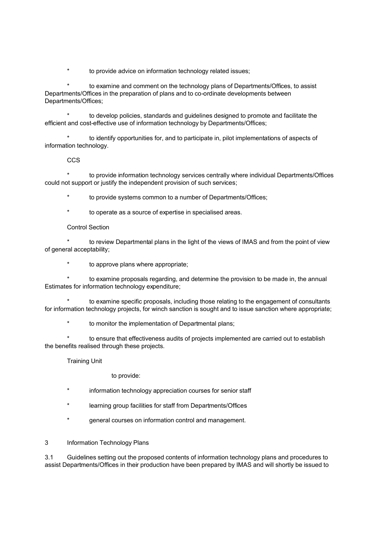\* to provide advice on information technology related issues;

to examine and comment on the technology plans of Departments/Offices, to assist Departments/Offices in the preparation of plans and to co-ordinate developments between Departments/Offices;

to develop policies, standards and guidelines designed to promote and facilitate the efficient and cost-effective use of information technology by Departments/Offices;

to identify opportunities for, and to participate in, pilot implementations of aspects of information technology.

## **CCS**

to provide information technology services centrally where individual Departments/Offices could not support or justify the independent provision of such services;

to provide systems common to a number of Departments/Offices;

\* to operate as a source of expertise in specialised areas.

## Control Section

to review Departmental plans in the light of the views of IMAS and from the point of view of general acceptability;

to approve plans where appropriate;

to examine proposals regarding, and determine the provision to be made in, the annual Estimates for information technology expenditure;

to examine specific proposals, including those relating to the engagement of consultants for information technology projects, for winch sanction is sought and to issue sanction where appropriate;

to monitor the implementation of Departmental plans;

to ensure that effectiveness audits of projects implemented are carried out to establish the benefits realised through these projects.

Training Unit

to provide:

- information technology appreciation courses for senior staff
- learning group facilities for staff from Departments/Offices
- general courses on information control and management.
- 3 Information Technology Plans

3.1 Guidelines setting out the proposed contents of information technology plans and procedures to assist Departments/Offices in their production have been prepared by IMAS and will shortly be issued to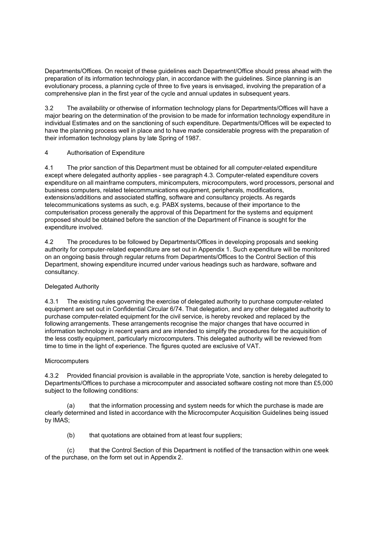Departments/Offices. On receipt of these guidelines each Department/Office should press ahead with the preparation of its information technology plan, in accordance with the guidelines. Since planning is an evolutionary process, a planning cycle of three to five years is envisaged, involving the preparation of a comprehensive plan in the first year of the cycle and annual updates in subsequent years.

3.2 The availability or otherwise of information technology plans for Departments/Offices will have a major bearing on the determination of the provision to be made for information technology expenditure in individual Estimates and on the sanctioning of such expenditure. Departments/Offices will be expected to have the planning process well in place and to have made considerable progress with the preparation of their information technology plans by late Spring of 1987.

# 4 Authorisation of Expenditure

4.1 The prior sanction of this Department must be obtained for all computer-related expenditure except where delegated authority applies - see paragraph 4.3. Computer-related expenditure covers expenditure on all mainframe computers, minicomputers, microcomputers, word processors, personal and business computers, related telecommunications equipment, peripherals, modifications, extensions/additions and associated staffing, software and consultancy projects. As regards telecommunications systems as such, e.g. PABX systems, because of their importance to the computerisation process generally the approval of this Department for the systems and equipment proposed should be obtained before the sanction of the Department of Finance is sought for the expenditure involved.

4.2 The procedures to be followed by Departments/Offices in developing proposals and seeking authority for computer-related expenditure are set out in Appendix 1. Such expenditure will be monitored on an ongoing basis through regular returns from Departments/Offices to the Control Section of this Department, showing expenditure incurred under various headings such as hardware, software and consultancy.

# Delegated Authority

4.3.1 The existing rules governing the exercise of delegated authority to purchase computer-related equipment are set out in Confidential Circular 6/74. That delegation, and any other delegated authority to purchase computer-related equipment for the civil service, is hereby revoked and replaced by the following arrangements. These arrangements recognise the major changes that have occurred in information technology in recent years and are intended to simplify the procedures for the acquisition of the less costly equipment, particularly microcomputers. This delegated authority will be reviewed from time to time in the light of experience. The figures quoted are exclusive of VAT.

# **Microcomputers**

4.3.2 Provided financial provision is available in the appropriate Vote, sanction is hereby delegated to Departments/Offices to purchase a microcomputer and associated software costing not more than £5,000 subject to the following conditions:

(a) that the information processing and system needs for which the purchase is made are clearly determined and listed in accordance with the Microcomputer Acquisition Guidelines being issued by IMAS;

(b) that quotations are obtained from at least four suppliers;

(c) that the Control Section of this Department is notified of the transaction within one week of the purchase, on the form set out in Appendix 2.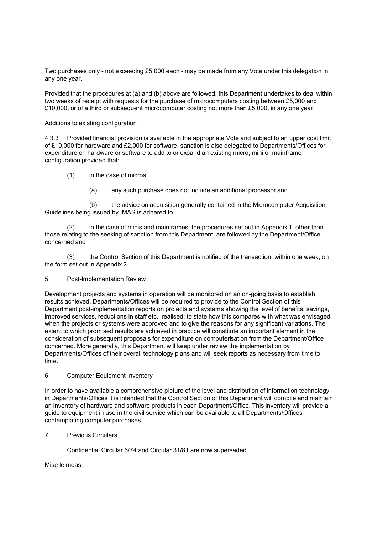Two purchases only - not exceeding £5,000 each - may be made from any Vote under this delegation in any one year.

Provided that the procedures at (a) and (b) above are followed, this Department undertakes to deal within two weeks of receipt with requests for the purchase of microcomputers costing between £5,000 and £10,000, or of a third or subsequent microcomputer costing not more than £5,000, in any one year.

## Additions to existing configuration

4.3.3 Provided financial provision is available in the appropriate Vote and subject to an upper cost limit of £10,000 for hardware and £2,000 for software, sanction is also delegated to Departments/Offices for expenditure on hardware or software to add to or expand an existing micro, mini or mainframe configuration provided that:

- (1) in the case of micros
	- (a) any such purchase does not include an additional processor and

(b) the advice on acquisition generally contained in the Microcomputer Acquisition Guidelines being issued by IMAS is adhered to,

(2) in the case of minis and mainframes, the procedures set out in Appendix 1, other than those relating to the seeking of sanction from this Department, are followed by the Department/Office concerned and

(3) the Control Section of this Department is notified of the transaction, within one week, on the form set out in Appendix 2.

### 5. Post-Implementation Review

Development projects and systems in operation will be monitored on an on-going basis to establish results achieved. Departments/Offices will be required to provide to the Control Section of this Department post-implementation reports on projects and systems showing the level of benefits, savings, improved services, reductions in staff etc., realised; to state how this compares with what was envisaged when the projects or systems were approved and to give the reasons for any significant variations. The extent to which promised results are achieved in practice will constitute an important element in the consideration of subsequent proposals for expenditure on computerisation from the Department/Office concerned. More generally, this Department will keep under review the implementation by Departments/Offices of their overall technology plans and will seek reports as necessary from time to time.

### 6 Computer Equipment Inventory

In order to have available a comprehensive picture of the level and distribution of information technology in Departments/Offices it is intended that the Control Section of this Department will compile and maintain an inventory of hardware and software products in each Department/Office. This inventory will provide a guide to equipment in use in the civil service which can be available to all Departments/Offices contemplating computer purchases.

7. Previous Circulars

Confidential Circular 6/74 and Circular 31/81 are now superseded.

Mise le meas,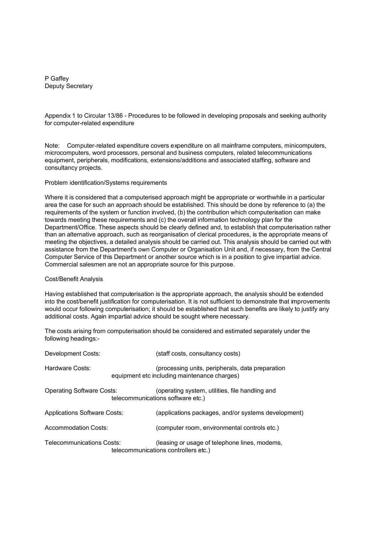P Gaffey Deputy Secretary

Appendix 1 to Circular 13/86 - Procedures to be followed in developing proposals and seeking authority for computer-related expenditure

Note: Computer-related expenditure covers expenditure on all mainframe computers, minicomputers, microcomputers, word processors, personal and business computers, related telecommunications equipment, peripherals, modifications, extensions/additions and associated staffing, software and consultancy projects.

### Problem identification/Systems requirements

Where it is considered that a computerised approach might be appropriate or worthwhile in a particular area the case for such an approach should be established. This should be done by reference to (a) the requirements of the system or function involved, (b) the contribution which computerisation can make towards meeting these requirements and (c) the overall information technology plan for the Department/Office. These aspects should be clearly defined and, to establish that computerisation rather than an alternative approach, such as reorganisation of clerical procedures, is the appropriate means of meeting the objectives, a detailed analysis should be carried out. This analysis should be carried out with assistance from the Department's own Computer or Organisation Unit and, if necessary, from the Central Computer Service of this Department or another source which is in a position to give impartial advice. Commercial salesmen are not an appropriate source for this purpose.

#### Cost/Benefit Analysis

Having established that computerisation is the appropriate approach, the analysis should be extended into the cost/benefit justification for computerisation. It is not sufficient to demonstrate that improvements would occur following computerisation; it should be established that such benefits are likely to justify any additional costs. Again impartial advice should be sought where necessary.

The costs arising from computerisation should be considered and estimated separately under the following headings:-

| Development Costs:                  | (staff costs, consultancy costs)                                                                 |
|-------------------------------------|--------------------------------------------------------------------------------------------------|
| Hardware Costs:                     | (processing units, peripherals, data preparation<br>equipment etc including maintenance charges) |
| <b>Operating Software Costs:</b>    | (operating system, utilities, file handling and<br>telecommunications software etc.)             |
| <b>Applications Software Costs:</b> | (applications packages, and/or systems development)                                              |
| Accommodation Costs:                | (computer room, environmental controls etc.)                                                     |
| Telecommunications Costs:           | (leasing or usage of telephone lines, modems,<br>telecommunications controllers etc.)            |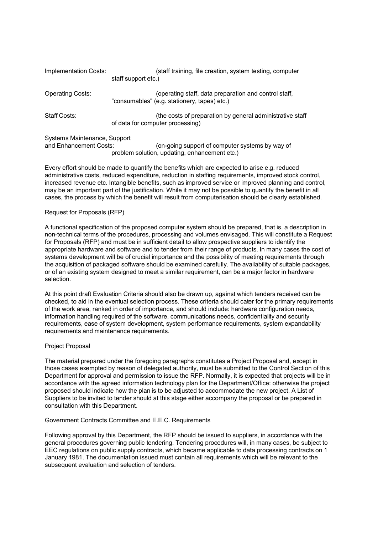| Implementation Costs:                                                                                                                                      | (staff training, file creation, system testing, computer<br>staff support etc.)                       |  |  |
|------------------------------------------------------------------------------------------------------------------------------------------------------------|-------------------------------------------------------------------------------------------------------|--|--|
| <b>Operating Costs:</b>                                                                                                                                    | (operating staff, data preparation and control staff,<br>"consumables" (e.g. stationery, tapes) etc.) |  |  |
| Staff Costs:                                                                                                                                               | (the costs of preparation by general administrative staff<br>of data for computer processing)         |  |  |
| Systems Maintenance, Support<br>and Enhancement Costs:<br>(on-going support of computer systems by way of<br>problem solution, updating, enhancement etc.) |                                                                                                       |  |  |

Every effort should be made to quantify the benefits which are expected to arise e.g. reduced administrative costs, reduced expenditure, reduction in staffing requirements, improved stock control, increased revenue etc. Intangible benefits, such as improved service or improved planning and control, may be an important part of the justification. While it may not be possible to quantify the benefit in all cases, the process by which the benefit will result from computerisation should be clearly established.

### Request for Proposals (RFP)

A functional specification of the proposed computer system should be prepared, that is, a description in non-technical terms of the procedures, processing and volumes envisaged. This will constitute a Request for Proposals (RFP) and must be in sufficient detail to allow prospective suppliers to identify the appropriate hardware and software and to tender from their range of products. In many cases the cost of systems development will be of crucial importance and the possibility of meeting requirements through the acquisition of packaged software should be examined carefully. The availability of suitable packages, or of an existing system designed to meet a similar requirement, can be a major factor in hardware selection.

At this point draft Evaluation Criteria should also be drawn up, against which tenders received can be checked, to aid in the eventual selection process. These criteria should cater for the primary requirements of the work area, ranked in order of importance, and should include: hardware configuration needs, information handling required of the software, communications needs, confidentiality and security requirements, ease of system development, system performance requirements, system expandability requirements and maintenance requirements.

### Project Proposal

The material prepared under the foregoing paragraphs constitutes a Project Proposal and, except in those cases exempted by reason of delegated authority, must be submitted to the Control Section of this Department for approval and permission to issue the RFP. Normally, it is expected that projects will be in accordance with the agreed information technology plan for the Department/Office: otherwise the project proposed should indicate how the plan is to be adjusted to accommodate the new project. A List of Suppliers to be invited to tender should at this stage either accompany the proposal or be prepared in consultation with this Department.

### Government Contracts Committee and E.E.C. Requirements

Following approval by this Department, the RFP should be issued to suppliers, in accordance with the general procedures governing public tendering. Tendering procedures will, in many cases, be subject to EEC regulations on public supply contracts, which became applicable to data processing contracts on 1 January 1981. The documentation issued must contain all requirements which will be relevant to the subsequent evaluation and selection of tenders.